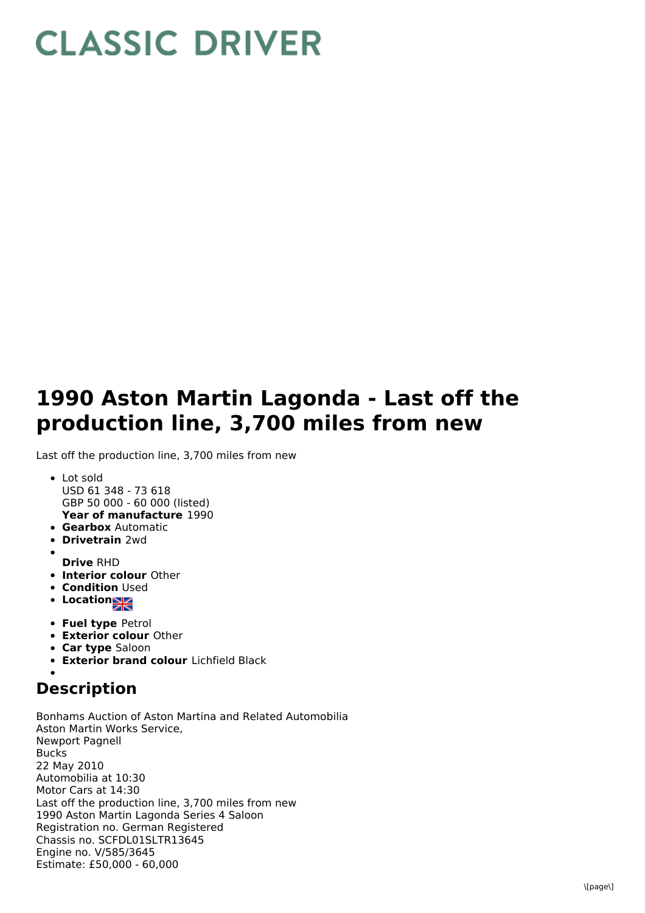## **CLASSIC DRIVER**

## **1990 Aston Martin Lagonda - Last off the production line, 3,700 miles from new**

Last off the production line, 3,700 miles from new

- **Year of manufacture** 1990 Lot sold USD 61 348 - 73 618 GBP 50 000 - 60 000 (listed)
- **Gearbox** Automatic
- **Drivetrain** 2wd
- **Drive** RHD
- **Interior colour** Other
- **Condition Used**
- Location
- **Fuel type** Petrol
- **Exterior colour** Other
- **Car type** Saloon
- **Exterior brand colour** Lichfield Black

## **Description**

Bonhams Auction of Aston Martina and Related Automobilia Aston Martin Works Service, Newport Pagnell Bucks 22 May 2010 Automobilia at 10:30 Motor Cars at 14:30 Last off the production line, 3,700 miles from new 1990 Aston Martin Lagonda Series 4 Saloon Registration no. German Registered Chassis no. SCFDL01SLTR13645 Engine no. V/585/3645 Estimate: £50,000 - 60,000